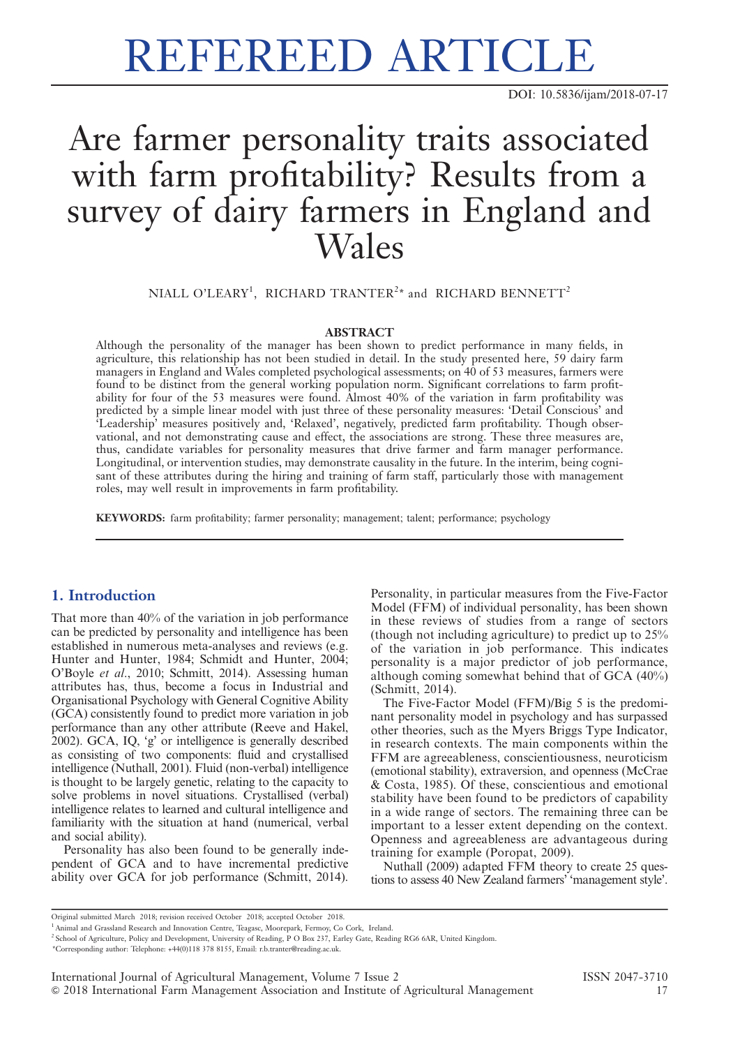# REFEREED ARTICLE

DOI: 10.5836/ijam/2018-07-17

# Are farmer personality traits associated with farm profitability? Results from a survey of dairy farmers in England and Wales

NIALL O'LEARY<sup>1</sup>, RICHARD TRANTER<sup>2\*</sup> and RICHARD BENNETT<sup>2</sup>

# **ABSTRACT**

Although the personality of the manager has been shown to predict performance in many fields, in agriculture, this relationship has not been studied in detail. In the study presented here, 59 dairy farm managers in England and Wales completed psychological assessments; on 40 of 53 measures, farmers were found to be distinct from the general working population norm. Significant correlations to farm profitability for four of the 53 measures were found. Almost 40% of the variation in farm profitability was predicted by a simple linear model with just three of these personality measures: 'Detail Conscious' and 'Leadership' measures positively and, 'Relaxed', negatively, predicted farm profitability. Though observational, and not demonstrating cause and effect, the associations are strong. These three measures are, thus, candidate variables for personality measures that drive farmer and farm manager performance. Longitudinal, or intervention studies, may demonstrate causality in the future. In the interim, being cognisant of these attributes during the hiring and training of farm staff, particularly those with management roles, may well result in improvements in farm profitability.

KEYWORDS: farm profitability; farmer personality; management; talent; performance; psychology

# 1. Introduction

That more than 40% of the variation in job performance can be predicted by personality and intelligence has been established in numerous meta-analyses and reviews (e.g. Hunter and Hunter, 1984; Schmidt and Hunter, 2004; O'Boyle et al., 2010; Schmitt, 2014). Assessing human attributes has, thus, become a focus in Industrial and Organisational Psychology with General Cognitive Ability (GCA) consistently found to predict more variation in job performance than any other attribute (Reeve and Hakel, 2002). GCA, IQ, 'g' or intelligence is generally described as consisting of two components: fluid and crystallised intelligence (Nuthall, 2001). Fluid (non-verbal) intelligence is thought to be largely genetic, relating to the capacity to solve problems in novel situations. Crystallised (verbal) intelligence relates to learned and cultural intelligence and familiarity with the situation at hand (numerical, verbal and social ability).

Personality has also been found to be generally independent of GCA and to have incremental predictive ability over GCA for job performance (Schmitt, 2014).

Personality, in particular measures from the Five-Factor Model (FFM) of individual personality, has been shown in these reviews of studies from a range of sectors (though not including agriculture) to predict up to 25% of the variation in job performance. This indicates personality is a major predictor of job performance, although coming somewhat behind that of GCA (40%) (Schmitt, 2014).

The Five-Factor Model (FFM)/Big 5 is the predominant personality model in psychology and has surpassed other theories, such as the Myers Briggs Type Indicator, in research contexts. The main components within the FFM are agreeableness, conscientiousness, neuroticism (emotional stability), extraversion, and openness (McCrae & Costa, 1985). Of these, conscientious and emotional stability have been found to be predictors of capability in a wide range of sectors. The remaining three can be important to a lesser extent depending on the context. Openness and agreeableness are advantageous during training for example (Poropat, 2009).

Nuthall (2009) adapted FFM theory to create 25 questions to assess 40 New Zealand farmers' 'management style'.

Original submitted March 2018; revision received October 2018; accepted October 2018.

\*Corresponding author: Telephone: +44(0)118 378 8155, Email: r.b.tranter@reading.ac.uk.

<sup>&</sup>lt;sup>1</sup> Animal and Grassland Research and Innovation Centre, Teagasc, Moorepark, Fermoy, Co Cork, Ireland.

<sup>2</sup> School of Agriculture, Policy and Development, University of Reading, P O Box 237, Earley Gate, Reading RG6 6AR, United Kingdom.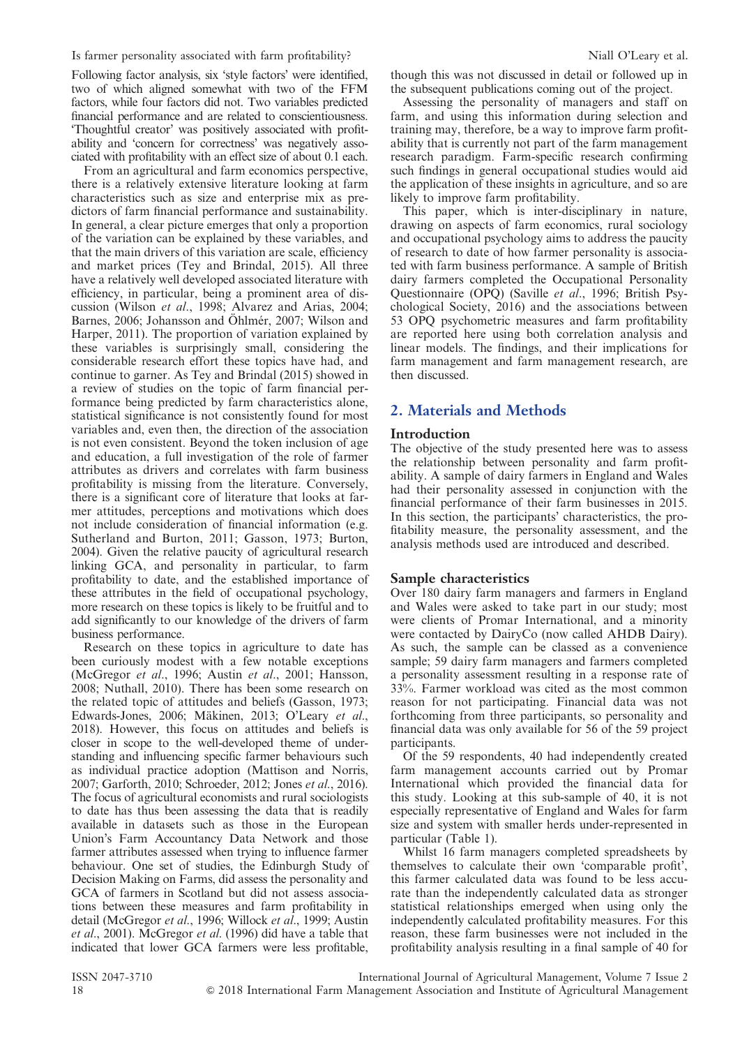Following factor analysis, six 'style factors' were identified, two of which aligned somewhat with two of the FFM factors, while four factors did not. Two variables predicted financial performance and are related to conscientiousness. 'Thoughtful creator' was positively associated with profitability and 'concern for correctness' was negatively associated with profitability with an effect size of about 0.1 each.

From an agricultural and farm economics perspective, there is a relatively extensive literature looking at farm characteristics such as size and enterprise mix as predictors of farm financial performance and sustainability. In general, a clear picture emerges that only a proportion of the variation can be explained by these variables, and that the main drivers of this variation are scale, efficiency and market prices (Tey and Brindal, 2015). All three have a relatively well developed associated literature with efficiency, in particular, being a prominent area of discussion (Wilson et al., 1998; Alvarez and Arias, 2004; Barnes, 2006; Johansson and Öhlmér, 2007; Wilson and Harper, 2011). The proportion of variation explained by these variables is surprisingly small, considering the considerable research effort these topics have had, and continue to garner. As Tey and Brindal (2015) showed in a review of studies on the topic of farm financial performance being predicted by farm characteristics alone, statistical significance is not consistently found for most variables and, even then, the direction of the association is not even consistent. Beyond the token inclusion of age and education, a full investigation of the role of farmer attributes as drivers and correlates with farm business profitability is missing from the literature. Conversely, there is a significant core of literature that looks at farmer attitudes, perceptions and motivations which does not include consideration of financial information (e.g. Sutherland and Burton, 2011; Gasson, 1973; Burton, 2004). Given the relative paucity of agricultural research linking GCA, and personality in particular, to farm profitability to date, and the established importance of these attributes in the field of occupational psychology, more research on these topics is likely to be fruitful and to add significantly to our knowledge of the drivers of farm business performance.

Research on these topics in agriculture to date has been curiously modest with a few notable exceptions (McGregor et al., 1996; Austin et al., 2001; Hansson, 2008; Nuthall, 2010). There has been some research on the related topic of attitudes and beliefs (Gasson, 1973; Edwards-Jones, 2006; Mäkinen, 2013; O'Leary et al., 2018). However, this focus on attitudes and beliefs is closer in scope to the well-developed theme of understanding and influencing specific farmer behaviours such as individual practice adoption (Mattison and Norris, 2007; Garforth, 2010; Schroeder, 2012; Jones et al., 2016). The focus of agricultural economists and rural sociologists to date has thus been assessing the data that is readily available in datasets such as those in the European Union's Farm Accountancy Data Network and those farmer attributes assessed when trying to influence farmer behaviour. One set of studies, the Edinburgh Study of Decision Making on Farms, did assess the personality and GCA of farmers in Scotland but did not assess associations between these measures and farm profitability in detail (McGregor et al., 1996; Willock et al., 1999; Austin et al., 2001). McGregor et al. (1996) did have a table that indicated that lower GCA farmers were less profitable, though this was not discussed in detail or followed up in the subsequent publications coming out of the project.

Assessing the personality of managers and staff on farm, and using this information during selection and training may, therefore, be a way to improve farm profitability that is currently not part of the farm management research paradigm. Farm-specific research confirming such findings in general occupational studies would aid the application of these insights in agriculture, and so are likely to improve farm profitability.

This paper, which is inter-disciplinary in nature, drawing on aspects of farm economics, rural sociology and occupational psychology aims to address the paucity of research to date of how farmer personality is associated with farm business performance. A sample of British dairy farmers completed the Occupational Personality Questionnaire (OPQ) (Saville et al., 1996; British Psychological Society, 2016) and the associations between 53 OPQ psychometric measures and farm profitability are reported here using both correlation analysis and linear models. The findings, and their implications for farm management and farm management research, are then discussed.

# 2. Materials and Methods

### Introduction

The objective of the study presented here was to assess the relationship between personality and farm profitability. A sample of dairy farmers in England and Wales had their personality assessed in conjunction with the financial performance of their farm businesses in 2015. In this section, the participants' characteristics, the profitability measure, the personality assessment, and the analysis methods used are introduced and described.

#### Sample characteristics

Over 180 dairy farm managers and farmers in England and Wales were asked to take part in our study; most were clients of Promar International, and a minority were contacted by DairyCo (now called AHDB Dairy). As such, the sample can be classed as a convenience sample; 59 dairy farm managers and farmers completed a personality assessment resulting in a response rate of 33%. Farmer workload was cited as the most common reason for not participating. Financial data was not forthcoming from three participants, so personality and financial data was only available for 56 of the 59 project participants.

Of the 59 respondents, 40 had independently created farm management accounts carried out by Promar International which provided the financial data for this study. Looking at this sub-sample of 40, it is not especially representative of England and Wales for farm size and system with smaller herds under-represented in particular (Table 1).

Whilst 16 farm managers completed spreadsheets by themselves to calculate their own 'comparable profit', this farmer calculated data was found to be less accurate than the independently calculated data as stronger statistical relationships emerged when using only the independently calculated profitability measures. For this reason, these farm businesses were not included in the profitability analysis resulting in a final sample of 40 for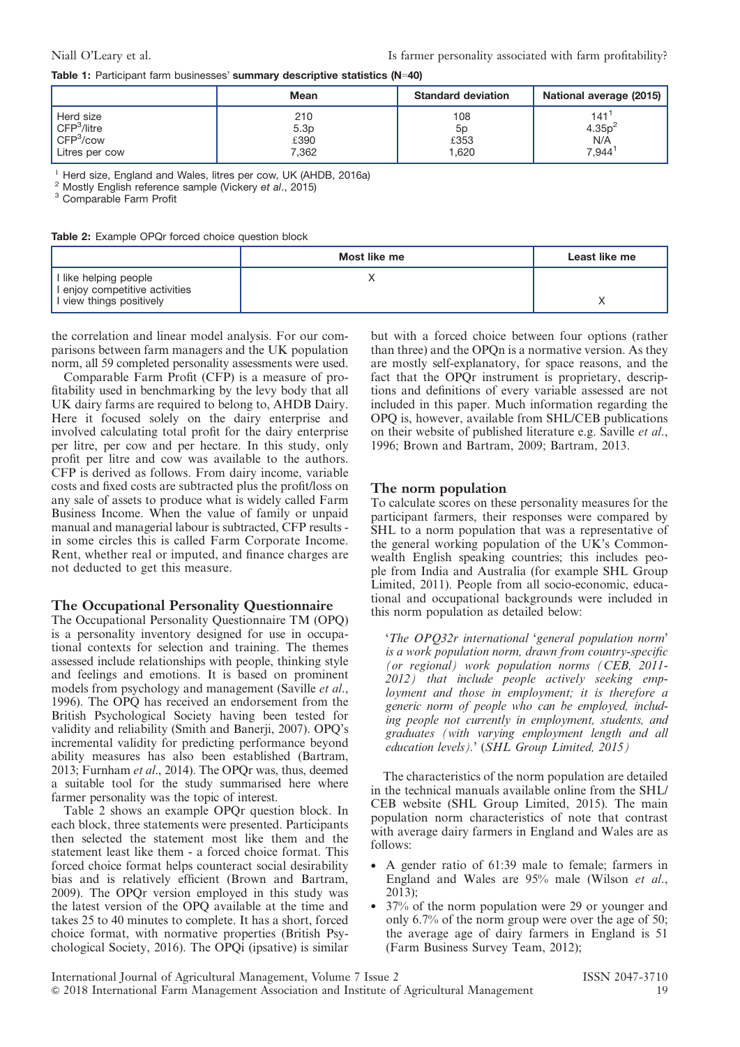#### Table 1: Participant farm businesses' summary descriptive statistics (N=40)

|                         | Mean  | <b>Standard deviation</b> | National average (2015) |
|-------------------------|-------|---------------------------|-------------------------|
| Herd size               | 210   | 108                       | 141                     |
| CFP <sup>3</sup> /litre | 5.3p  | 5p                        | 4.35p <sup>2</sup>      |
| CFP <sup>3</sup> /cov   | £390  | £353                      | N/A                     |
| Litres per cow          | 7.362 | .620                      | 7,944 <sup>1</sup>      |

<sup>1</sup> Herd size, England and Wales, litres per cow, UK (AHDB, 2016a)  $^2$  Mostly English reference sample (Vickery et al., 2015)  $^3$  Comparable Farm Profit

Table 2: Example OPQr forced choice question block

|                                                                                     | Most like me | Least like me |
|-------------------------------------------------------------------------------------|--------------|---------------|
| I like helping people<br>I enjoy competitive activities<br>I view things positively |              |               |

the correlation and linear model analysis. For our comparisons between farm managers and the UK population norm, all 59 completed personality assessments were used.

Comparable Farm Profit (CFP) is a measure of profitability used in benchmarking by the levy body that all UK dairy farms are required to belong to, AHDB Dairy. Here it focused solely on the dairy enterprise and involved calculating total profit for the dairy enterprise per litre, per cow and per hectare. In this study, only profit per litre and cow was available to the authors. CFP is derived as follows. From dairy income, variable costs and fixed costs are subtracted plus the profit/loss on any sale of assets to produce what is widely called Farm Business Income. When the value of family or unpaid manual and managerial labour is subtracted, CFP results in some circles this is called Farm Corporate Income. Rent, whether real or imputed, and finance charges are not deducted to get this measure.

#### The Occupational Personality Questionnaire

The Occupational Personality Questionnaire TM (OPQ) is a personality inventory designed for use in occupational contexts for selection and training. The themes assessed include relationships with people, thinking style and feelings and emotions. It is based on prominent models from psychology and management (Saville et al., 1996). The OPQ has received an endorsement from the British Psychological Society having been tested for validity and reliability (Smith and Banerii, 2007). OPO's incremental validity for predicting performance beyond ability measures has also been established (Bartram, 2013; Furnham et al., 2014). The OPQr was, thus, deemed a suitable tool for the study summarised here where farmer personality was the topic of interest.

Table 2 shows an example OPQr question block. In each block, three statements were presented. Participants then selected the statement most like them and the statement least like them - a forced choice format. This forced choice format helps counteract social desirability bias and is relatively efficient (Brown and Bartram, 2009). The OPQr version employed in this study was the latest version of the OPQ available at the time and takes 25 to 40 minutes to complete. It has a short, forced choice format, with normative properties (British Psychological Society, 2016). The OPQi (ipsative) is similar

but with a forced choice between four options (rather than three) and the OPQn is a normative version. As they are mostly self-explanatory, for space reasons, and the fact that the OPQr instrument is proprietary, descriptions and definitions of every variable assessed are not included in this paper. Much information regarding the OPQ is, however, available from SHL/CEB publications on their website of published literature e.g. Saville et al., 1996; Brown and Bartram, 2009; Bartram, 2013.

#### The norm population

To calculate scores on these personality measures for the participant farmers, their responses were compared by SHL to a norm population that was a representative of the general working population of the UK's Commonwealth English speaking countries; this includes people from India and Australia (for example SHL Group Limited, 2011). People from all socio-economic, educational and occupational backgrounds were included in this norm population as detailed below:

'The OPQ32r international 'general population norm' is a work population norm, drawn from country-specific (or regional) work population norms (CEB, 2011- 2012) that include people actively seeking employment and those in employment; it is therefore a generic norm of people who can be employed, including people not currently in employment, students, and graduates (with varying employment length and all education levels).' (SHL Group Limited, 2015)

The characteristics of the norm population are detailed in the technical manuals available online from the SHL/ CEB website (SHL Group Limited, 2015). The main population norm characteristics of note that contrast with average dairy farmers in England and Wales are as follows:

- A gender ratio of 61:39 male to female; farmers in England and Wales are 95% male (Wilson et al., 2013);
- 37% of the norm population were 29 or younger and only 6.7% of the norm group were over the age of 50; the average age of dairy farmers in England is 51 (Farm Business Survey Team, 2012);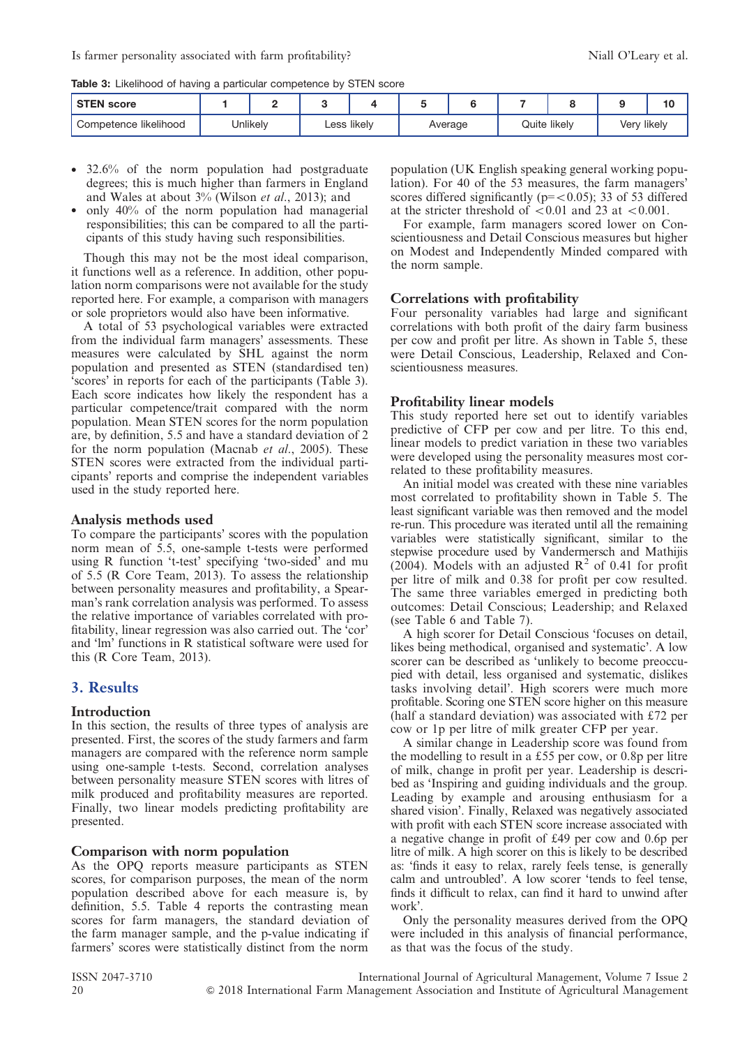Table 3: Likelihood of having a particular competence by STEN score

| <b>STEN score</b>     |          |             |         |              |             | - 0 |
|-----------------------|----------|-------------|---------|--------------|-------------|-----|
| Competence likelihood | Jnlikely | ∟ess likely | Average | Quite likely | Very likely |     |

- 32.6% of the norm population had postgraduate degrees; this is much higher than farmers in England and Wales at about 3% (Wilson et al., 2013); and
- $\bullet$  only 40% of the norm population had managerial responsibilities; this can be compared to all the participants of this study having such responsibilities.

Though this may not be the most ideal comparison, it functions well as a reference. In addition, other population norm comparisons were not available for the study reported here. For example, a comparison with managers or sole proprietors would also have been informative.

A total of 53 psychological variables were extracted from the individual farm managers' assessments. These measures were calculated by SHL against the norm population and presented as STEN (standardised ten) 'scores' in reports for each of the participants (Table 3). Each score indicates how likely the respondent has a particular competence/trait compared with the norm population. Mean STEN scores for the norm population are, by definition, 5.5 and have a standard deviation of 2 for the norm population (Macnab *et al.*, 2005). These STEN scores were extracted from the individual participants' reports and comprise the independent variables used in the study reported here.

#### Analysis methods used

To compare the participants' scores with the population norm mean of 5.5, one-sample t-tests were performed using R function 't-test' specifying 'two-sided' and mu of 5.5 (R Core Team, 2013). To assess the relationship between personality measures and profitability, a Spearman's rank correlation analysis was performed. To assess the relative importance of variables correlated with profitability, linear regression was also carried out. The 'cor' and 'lm' functions in R statistical software were used for this (R Core Team, 2013).

# 3. Results

# **Introduction**

In this section, the results of three types of analysis are presented. First, the scores of the study farmers and farm managers are compared with the reference norm sample using one-sample t-tests. Second, correlation analyses between personality measure STEN scores with litres of milk produced and profitability measures are reported. Finally, two linear models predicting profitability are presented.

# Comparison with norm population

As the OPQ reports measure participants as STEN scores, for comparison purposes, the mean of the norm population described above for each measure is, by definition, 5.5. Table 4 reports the contrasting mean scores for farm managers, the standard deviation of the farm manager sample, and the p-value indicating if farmers' scores were statistically distinct from the norm population (UK English speaking general working population). For 40 of the 53 measures, the farm managers' scores differed significantly ( $p = < 0.05$ ); 33 of 53 differed at the stricter threshold of  $\langle 0.01 \rangle$  and 23 at  $\langle 0.001 \rangle$ .

For example, farm managers scored lower on Conscientiousness and Detail Conscious measures but higher on Modest and Independently Minded compared with the norm sample.

### Correlations with profitability

Four personality variables had large and significant correlations with both profit of the dairy farm business per cow and profit per litre. As shown in Table 5, these were Detail Conscious, Leadership, Relaxed and Conscientiousness measures.

### Profitability linear models

This study reported here set out to identify variables predictive of CFP per cow and per litre. To this end, linear models to predict variation in these two variables were developed using the personality measures most correlated to these profitability measures.

An initial model was created with these nine variables most correlated to profitability shown in Table 5. The least significant variable was then removed and the model re-run. This procedure was iterated until all the remaining variables were statistically significant, similar to the stepwise procedure used by Vandermersch and Mathijis (2004). Models with an adjusted  $R^2$  of 0.41 for profit per litre of milk and 0.38 for profit per cow resulted. The same three variables emerged in predicting both outcomes: Detail Conscious; Leadership; and Relaxed (see Table 6 and Table 7).

A high scorer for Detail Conscious 'focuses on detail, likes being methodical, organised and systematic'. A low scorer can be described as 'unlikely to become preoccupied with detail, less organised and systematic, dislikes tasks involving detail'. High scorers were much more profitable. Scoring one STEN score higher on this measure (half a standard deviation) was associated with  $\text{\textsterling}72$  per cow or 1p per litre of milk greater CFP per year.

A similar change in Leadership score was found from the modelling to result in a £55 per cow, or 0.8p per litre of milk, change in profit per year. Leadership is described as 'Inspiring and guiding individuals and the group. Leading by example and arousing enthusiasm for a shared vision'. Finally, Relaxed was negatively associated with profit with each STEN score increase associated with a negative change in profit of  $£49$  per cow and 0.6p per litre of milk. A high scorer on this is likely to be described as: 'finds it easy to relax, rarely feels tense, is generally calm and untroubled'. A low scorer 'tends to feel tense, finds it difficult to relax, can find it hard to unwind after work'.

Only the personality measures derived from the OPQ were included in this analysis of financial performance, as that was the focus of the study.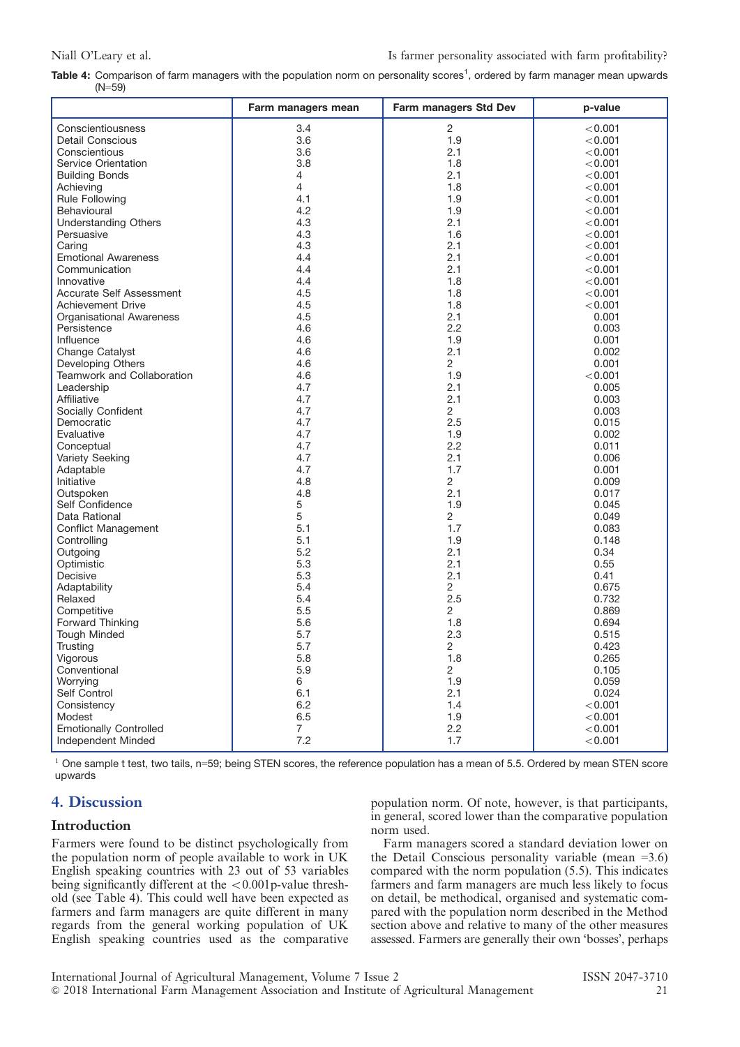| Table 4: Comparison of farm managers with the population norm on personality scores <sup>1</sup> , ordered by farm manager mean upwards |  |  |  |  |  |  |
|-----------------------------------------------------------------------------------------------------------------------------------------|--|--|--|--|--|--|
| $(N=59)$                                                                                                                                |  |  |  |  |  |  |

|                                 | Farm managers mean    | Farm managers Std Dev | p-value        |
|---------------------------------|-----------------------|-----------------------|----------------|
| Conscientiousness               | 3.4                   | $\overline{2}$        | < 0.001        |
| <b>Detail Conscious</b>         | 3.6                   | 1.9                   | < 0.001        |
| Conscientious                   | 3.6                   | 2.1                   | < 0.001        |
| Service Orientation             | 3.8                   | 1.8                   | < 0.001        |
| <b>Building Bonds</b>           | 4                     | 2.1                   | < 0.001        |
| Achieving                       | 4                     | 1.8                   | < 0.001        |
| <b>Rule Following</b>           | 4.1                   | 1.9                   | < 0.001        |
| Behavioural                     | 4.2                   | 1.9                   | < 0.001        |
| <b>Understanding Others</b>     | 4.3                   | 2.1                   | < 0.001        |
| Persuasive                      | 4.3                   | 1.6                   | < 0.001        |
| Caring                          | 4.3                   | 2.1                   | < 0.001        |
| <b>Emotional Awareness</b>      | 4.4                   | 2.1                   | < 0.001        |
| Communication                   | 4.4                   | 2.1                   | < 0.001        |
| Innovative                      | 4.4                   | 1.8                   | < 0.001        |
| Accurate Self Assessment        | 4.5                   | 1.8                   | < 0.001        |
| Achievement Drive               | 4.5                   | 1.8                   | < 0.001        |
|                                 | 4.5                   | 2.1                   |                |
| <b>Organisational Awareness</b> |                       | 2.2                   | 0.001          |
| Persistence                     | 4.6                   |                       | 0.003          |
| Influence                       | 4.6                   | 1.9                   | 0.001          |
| Change Catalyst                 | 4.6                   | 2.1                   | 0.002          |
| Developing Others               | 4.6                   | 2<br>1.9              | 0.001          |
| Teamwork and Collaboration      | 4.6                   |                       | < 0.001        |
| Leadership<br>Affiliative       | 4.7                   | 2.1<br>2.1            | 0.005          |
|                                 | 4.7                   |                       | 0.003          |
| Socially Confident              | 4.7                   | $\overline{2}$        | 0.003          |
| Democratic                      | 4.7                   | 2.5                   | 0.015          |
| Evaluative                      | 4.7                   | 1.9                   | 0.002          |
| Conceptual                      | 4.7                   | $2.2\phantom{0}$      | 0.011          |
| <b>Variety Seeking</b>          | 4.7                   | 2.1<br>1.7            | 0.006          |
| Adaptable                       | 4.7                   |                       | 0.001          |
| Initiative                      | 4.8<br>4.8            | 2<br>2.1              | 0.009<br>0.017 |
| Outspoken                       | 5                     | 1.9                   | 0.045          |
| Self Confidence                 | 5                     |                       |                |
| Data Rational                   |                       | 2<br>1.7              | 0.049          |
| <b>Conflict Management</b>      | 5.1                   |                       | 0.083          |
| Controlling                     | 5.1                   | 1.9                   | 0.148          |
| Outgoing                        | 5.2                   | 2.1                   | 0.34           |
| Optimistic                      | 5.3                   | 2.1                   | 0.55           |
| Decisive                        | 5.3                   | 2.1                   | 0.41           |
| Adaptability<br>Relaxed         | 5.4                   | 2<br>2.5              | 0.675          |
|                                 | 5.4                   |                       | 0.732          |
| Competitive                     | 5.5                   | 2                     | 0.869          |
| Forward Thinking                | 5.6                   | 1.8                   | 0.694          |
| <b>Tough Minded</b>             | 5.7                   | 2.3                   | 0.515          |
| Trusting                        | 5.7                   | 2                     | 0.423          |
| Vigorous                        | 5.8                   | 1.8                   | 0.265          |
| Conventional                    | 5.9                   | 2                     | 0.105          |
| Worrying                        | 6                     | 1.9                   | 0.059          |
| Self Control                    | 6.1                   | 2.1                   | 0.024          |
| Consistency                     | 6.2                   | 1.4                   | < 0.001        |
| Modest                          | 6.5                   | 1.9                   | < 0.001        |
| <b>Emotionally Controlled</b>   | $\overline{7}$<br>7.2 | 2.2<br>1.7            | < 0.001        |
| Independent Minded              |                       |                       | < 0.001        |

 $1$  One sample t test, two tails, n=59; being STEN scores, the reference population has a mean of 5.5. Ordered by mean STEN score upwards

# 4. Discussion

### Introduction

Farmers were found to be distinct psychologically from the population norm of people available to work in UK English speaking countries with 23 out of 53 variables being significantly different at the  $\langle 0.001$  p-value threshold (see Table 4). This could well have been expected as farmers and farm managers are quite different in many regards from the general working population of UK English speaking countries used as the comparative

population norm. Of note, however, is that participants, in general, scored lower than the comparative population norm used.

Farm managers scored a standard deviation lower on the Detail Conscious personality variable (mean  $=3.6$ ) compared with the norm population (5.5). This indicates farmers and farm managers are much less likely to focus on detail, be methodical, organised and systematic compared with the population norm described in the Method section above and relative to many of the other measures assessed. Farmers are generally their own 'bosses', perhaps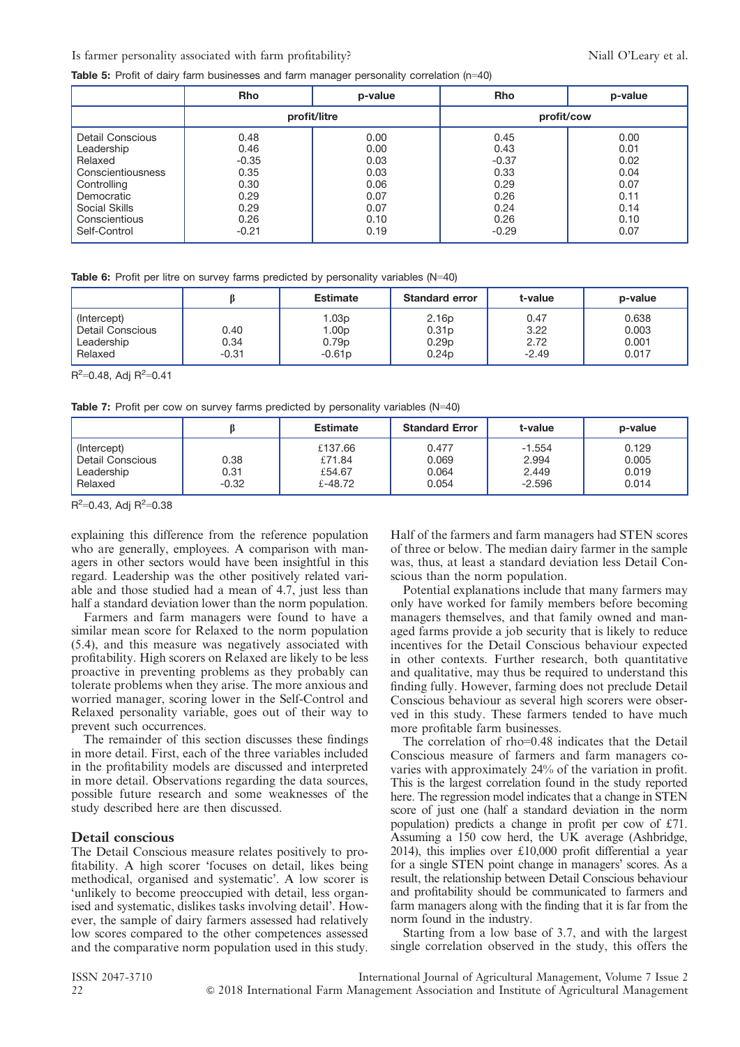#### Is farmer personality associated with farm profitability? Niall O'Leary et al.

Table 5: Profit of dairy farm businesses and farm manager personality correlation (n=40)

|                   | <b>Rho</b>   | p-value | <b>Rho</b> | p-value |  |
|-------------------|--------------|---------|------------|---------|--|
|                   | profit/litre |         | profit/cow |         |  |
| Detail Conscious  | 0.48         | 0.00    | 0.45       | 0.00    |  |
| Leadership        | 0.46         | 0.00    | 0.43       | 0.01    |  |
| Relaxed           | $-0.35$      | 0.03    | $-0.37$    | 0.02    |  |
| Conscientiousness | 0.35         | 0.03    | 0.33       | 0.04    |  |
| Controlling       | 0.30         | 0.06    | 0.29       | 0.07    |  |
| Democratic        | 0.29         | 0.07    | 0.26       | 0.11    |  |
| Social Skills     | 0.29         | 0.07    | 0.24       | 0.14    |  |
| Conscientious     | 0.26         | 0.10    | 0.26       | 0.10    |  |
| Self-Control      | $-0.21$      | 0.19    | $-0.29$    | 0.07    |  |

|                                                          |                         | <b>Estimate</b>                                             | <b>Standard error</b>                                                            | t-value                         | p-value                          |
|----------------------------------------------------------|-------------------------|-------------------------------------------------------------|----------------------------------------------------------------------------------|---------------------------------|----------------------------------|
| (Intercept)<br>Detail Conscious<br>Leadership<br>Relaxed | 0.40<br>0.34<br>$-0.31$ | 1.03p<br>1.00 <sub>p</sub><br>0.79 <sub>p</sub><br>$-0.61p$ | 2.16 <sub>p</sub><br>0.31 <sub>p</sub><br>0.29 <sub>p</sub><br>0.24 <sub>p</sub> | 0.47<br>3.22<br>2.72<br>$-2.49$ | 0.638<br>0.003<br>0.001<br>0.017 |

 $R^2$ =0.48, Adj  $R^2$ =0.41

Table 7: Profit per cow on survey farms predicted by personality variables (N=40)

|                                                          |                         | <b>Estimate</b>                        | <b>Standard Error</b>            | t-value                                | p-value                          |
|----------------------------------------------------------|-------------------------|----------------------------------------|----------------------------------|----------------------------------------|----------------------------------|
| (Intercept)<br>Detail Conscious<br>Leadership<br>Relaxed | 0.38<br>0.31<br>$-0.32$ | £137.66<br>£71.84<br>£54.67<br>£-48.72 | 0.477<br>0.069<br>0.064<br>0.054 | $-1.554$<br>2.994<br>2.449<br>$-2.596$ | 0.129<br>0.005<br>0.019<br>0.014 |

 $R^2$ =0.43, Adj  $R^2$ =0.38

explaining this difference from the reference population who are generally, employees. A comparison with managers in other sectors would have been insightful in this regard. Leadership was the other positively related variable and those studied had a mean of 4.7, just less than half a standard deviation lower than the norm population.

Farmers and farm managers were found to have a similar mean score for Relaxed to the norm population (5.4), and this measure was negatively associated with profitability. High scorers on Relaxed are likely to be less proactive in preventing problems as they probably can tolerate problems when they arise. The more anxious and worried manager, scoring lower in the Self-Control and Relaxed personality variable, goes out of their way to prevent such occurrences.

The remainder of this section discusses these findings in more detail. First, each of the three variables included in the profitability models are discussed and interpreted in more detail. Observations regarding the data sources, possible future research and some weaknesses of the study described here are then discussed.

#### Detail conscious

The Detail Conscious measure relates positively to profitability. A high scorer 'focuses on detail, likes being methodical, organised and systematic'. A low scorer is 'unlikely to become preoccupied with detail, less organised and systematic, dislikes tasks involving detail'. However, the sample of dairy farmers assessed had relatively low scores compared to the other competences assessed and the comparative norm population used in this study. Half of the farmers and farm managers had STEN scores of three or below. The median dairy farmer in the sample was, thus, at least a standard deviation less Detail Conscious than the norm population.

Potential explanations include that many farmers may only have worked for family members before becoming managers themselves, and that family owned and managed farms provide a job security that is likely to reduce incentives for the Detail Conscious behaviour expected in other contexts. Further research, both quantitative and qualitative, may thus be required to understand this finding fully. However, farming does not preclude Detail Conscious behaviour as several high scorers were observed in this study. These farmers tended to have much more profitable farm businesses.

The correlation of rho=0.48 indicates that the Detail Conscious measure of farmers and farm managers covaries with approximately 24% of the variation in profit. This is the largest correlation found in the study reported here. The regression model indicates that a change in STEN score of just one (half a standard deviation in the norm population) predicts a change in profit per cow of  $£71$ . Assuming a 150 cow herd, the UK average (Ashbridge, 2014), this implies over  $£10,000$  profit differential a year for a single STEN point change in managers' scores. As a result, the relationship between Detail Conscious behaviour and profitability should be communicated to farmers and farm managers along with the finding that it is far from the norm found in the industry.

Starting from a low base of 3.7, and with the largest single correlation observed in the study, this offers the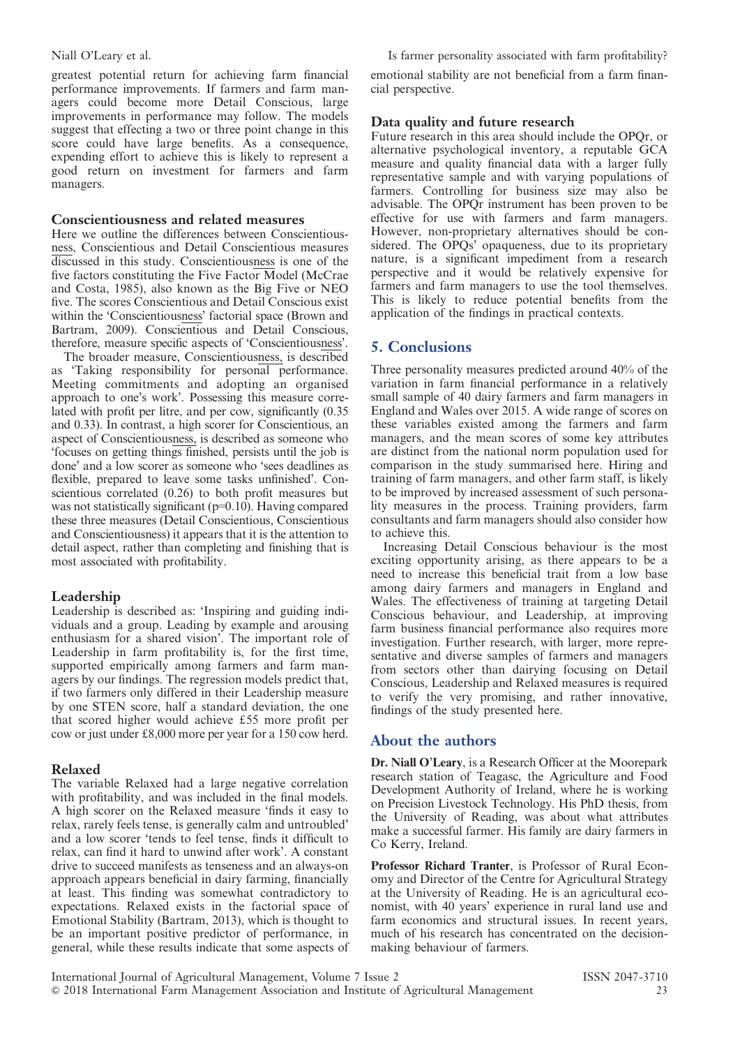greatest potential return for achieving farm financial performance improvements. If farmers and farm managers could become more Detail Conscious, large improvements in performance may follow. The models suggest that effecting a two or three point change in this score could have large benefits. As a consequence, expending effort to achieve this is likely to represent a good return on investment for farmers and farm managers.

## Conscientiousness and related measures

Here we outline the differences between Conscientiousness, Conscientious and Detail Conscientious measures discussed in this study. Conscientiousness is one of the five factors constituting the Five Factor Model (McCrae and Costa, 1985), also known as the Big Five or NEO five. The scores Conscientious and Detail Conscious exist within the 'Conscientiousness' factorial space (Brown and Bartram, 2009). Conscientious and Detail Conscious, therefore, measure specific aspects of 'Conscientiousness'.

The broader measure, Conscientiousness, is described as 'Taking responsibility for personal performance. Meeting commitments and adopting an organised approach to one's work'. Possessing this measure correlated with profit per litre, and per cow, significantly (0.35 and 0.33). In contrast, a high scorer for Conscientious, an aspect of Conscientiousness, is described as someone who 'focuses on getting things finished, persists until the job is done' and a low scorer as someone who 'sees deadlines as flexible, prepared to leave some tasks unfinished'. Conscientious correlated (0.26) to both profit measures but was not statistically significant  $(p=0.10)$ . Having compared these three measures (Detail Conscientious, Conscientious and Conscientiousness) it appears that it is the attention to detail aspect, rather than completing and finishing that is most associated with profitability.

# Leadership

Leadership is described as: 'Inspiring and guiding individuals and a group. Leading by example and arousing enthusiasm for a shared vision'. The important role of Leadership in farm profitability is, for the first time, supported empirically among farmers and farm managers by our findings. The regression models predict that, if two farmers only differed in their Leadership measure by one STEN score, half a standard deviation, the one that scored higher would achieve £55 more profit per cow or just under  $£8,000$  more per year for a 150 cow herd.

# Relaxed

The variable Relaxed had a large negative correlation with profitability, and was included in the final models. A high scorer on the Relaxed measure 'finds it easy to relax, rarely feels tense, is generally calm and untroubled' and a low scorer 'tends to feel tense, finds it difficult to relax, can find it hard to unwind after work'. A constant drive to succeed manifests as tenseness and an always-on approach appears beneficial in dairy farming, financially at least. This finding was somewhat contradictory to expectations. Relaxed exists in the factorial space of Emotional Stability (Bartram, 2013), which is thought to be an important positive predictor of performance, in general, while these results indicate that some aspects of

## Niall O'Leary et al.  $\qquad \qquad$  Is farmer personality associated with farm profitability?

emotional stability are not beneficial from a farm financial perspective.

# Data quality and future research

Future research in this area should include the OPQr, or alternative psychological inventory, a reputable GCA measure and quality financial data with a larger fully representative sample and with varying populations of farmers. Controlling for business size may also be advisable. The OPQr instrument has been proven to be effective for use with farmers and farm managers. However, non-proprietary alternatives should be considered. The OPQs' opaqueness, due to its proprietary nature, is a significant impediment from a research perspective and it would be relatively expensive for farmers and farm managers to use the tool themselves. This is likely to reduce potential benefits from the application of the findings in practical contexts.

# 5. Conclusions

Three personality measures predicted around 40% of the variation in farm financial performance in a relatively small sample of 40 dairy farmers and farm managers in England and Wales over 2015. A wide range of scores on these variables existed among the farmers and farm managers, and the mean scores of some key attributes are distinct from the national norm population used for comparison in the study summarised here. Hiring and training of farm managers, and other farm staff, is likely to be improved by increased assessment of such personality measures in the process. Training providers, farm consultants and farm managers should also consider how to achieve this.

Increasing Detail Conscious behaviour is the most exciting opportunity arising, as there appears to be a need to increase this beneficial trait from a low base among dairy farmers and managers in England and Wales. The effectiveness of training at targeting Detail Conscious behaviour, and Leadership, at improving farm business financial performance also requires more investigation. Further research, with larger, more representative and diverse samples of farmers and managers from sectors other than dairying focusing on Detail Conscious, Leadership and Relaxed measures is required to verify the very promising, and rather innovative, findings of the study presented here.

# About the authors

Dr. Niall O'Leary, is a Research Officer at the Moorepark research station of Teagasc, the Agriculture and Food Development Authority of Ireland, where he is working on Precision Livestock Technology. His PhD thesis, from the University of Reading, was about what attributes make a successful farmer. His family are dairy farmers in Co Kerry, Ireland.

Professor Richard Tranter, is Professor of Rural Economy and Director of the Centre for Agricultural Strategy at the University of Reading. He is an agricultural economist, with 40 years' experience in rural land use and farm economics and structural issues. In recent years, much of his research has concentrated on the decisionmaking behaviour of farmers.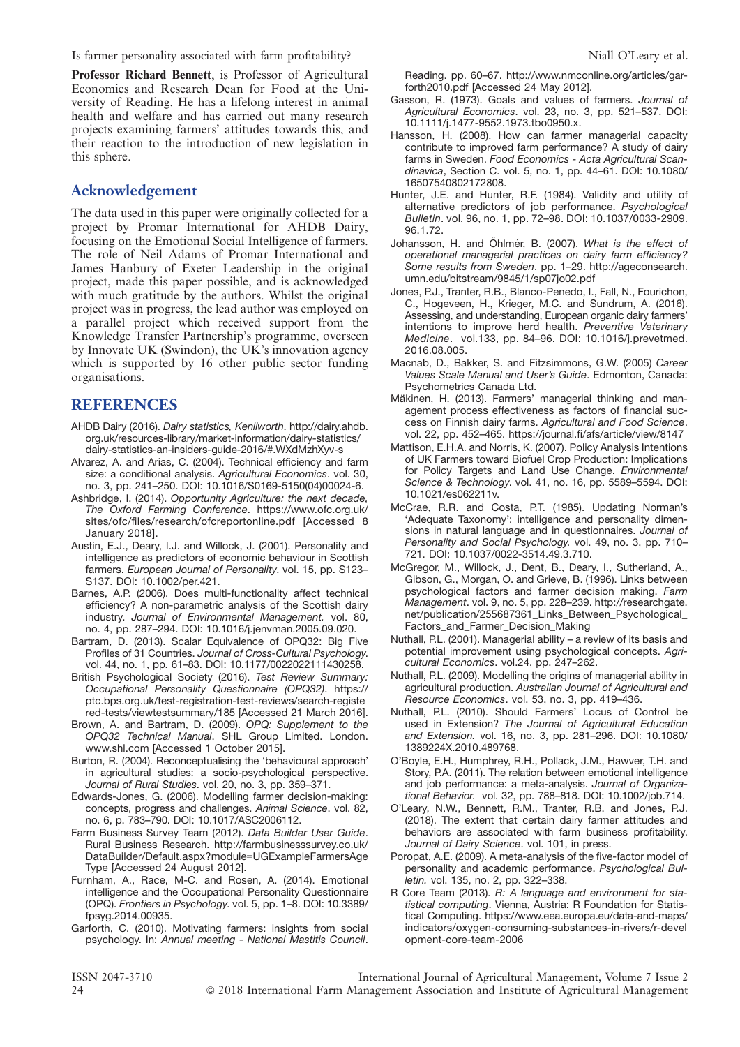Is farmer personality associated with farm profitability? Niall O'Leary et al.

Professor Richard Bennett, is Professor of Agricultural Economics and Research Dean for Food at the University of Reading. He has a lifelong interest in animal health and welfare and has carried out many research projects examining farmers' attitudes towards this, and their reaction to the introduction of new legislation in this sphere.

# Acknowledgement

The data used in this paper were originally collected for a project by Promar International for AHDB Dairy, focusing on the Emotional Social Intelligence of farmers. The role of Neil Adams of Promar International and James Hanbury of Exeter Leadership in the original project, made this paper possible, and is acknowledged with much gratitude by the authors. Whilst the original project was in progress, the lead author was employed on a parallel project which received support from the Knowledge Transfer Partnership's programme, overseen by Innovate UK (Swindon), the UK's innovation agency which is supported by 16 other public sector funding organisations.

# **REFERENCES**

- AHDB Dairy (2016). Dairy statistics, Kenilworth. http://dairy.ahdb. org.uk/resources-library/market-information/dairy-statistics/ dairy-statistics-an-insiders-guide-2016/#.WXdMzhXyv-s
- Alvarez, A. and Arias, C. (2004). Technical efficiency and farm size: a conditional analysis. Agricultural Economics. vol. 30, no. 3, pp. 241–250. DOI: 10.1016/S0169-5150(04)00024-6.
- Ashbridge, I. (2014). Opportunity Agriculture: the next decade, The Oxford Farming Conference. https://www.ofc.org.uk/ sites/ofc/files/research/ofcreportonline.pdf [Accessed 8 January 2018].
- Austin, E.J., Deary, I.J. and Willock, J. (2001). Personality and intelligence as predictors of economic behaviour in Scottish farmers. European Journal of Personality. vol. 15, pp. S123– S137. DOI: 10.1002/per.421.
- Barnes, A.P. (2006). Does multi-functionality affect technical efficiency? A non-parametric analysis of the Scottish dairy industry. Journal of Environmental Management. vol. 80, no. 4, pp. 287–294. DOI: 10.1016/j.jenvman.2005.09.020.
- Bartram, D. (2013). Scalar Equivalence of OPQ32: Big Five Profiles of 31 Countries. Journal of Cross-Cultural Psychology. vol. 44, no. 1, pp. 61–83. DOI: 10.1177/0022022111430258.
- British Psychological Society (2016). Test Review Summary: Occupational Personality Questionnaire (OPQ32). https:// ptc.bps.org.uk/test-registration-test-reviews/search-registe red-tests/viewtestsummary/185 [Accessed 21 March 2016].
- Brown, A. and Bartram, D. (2009). OPQ: Supplement to the OPQ32 Technical Manual. SHL Group Limited. London. www.shl.com [Accessed 1 October 2015].
- Burton, R. (2004). Reconceptualising the 'behavioural approach' in agricultural studies: a socio-psychological perspective. Journal of Rural Studies. vol. 20, no. 3, pp. 359–371.
- Edwards-Jones, G. (2006). Modelling farmer decision-making: concepts, progress and challenges. Animal Science. vol. 82, no. 6, p. 783–790. DOI: 10.1017/ASC2006112.
- Farm Business Survey Team (2012). Data Builder User Guide. Rural Business Research. http://farmbusinesssurvey.co.uk/ DataBuilder/Default.aspx?module=UGExampleFarmersAge Type [Accessed 24 August 2012].
- Furnham, A., Race, M-C. and Rosen, A. (2014). Emotional intelligence and the Occupational Personality Questionnaire (OPQ). Frontiers in Psychology. vol. 5, pp. 1–8. DOI: 10.3389/ fpsyg.2014.00935.
- Garforth, C. (2010). Motivating farmers: insights from social psychology. In: Annual meeting - National Mastitis Council.

Reading. pp. 60–67. http://www.nmconline.org/articles/garforth2010.pdf [Accessed 24 May 2012].

- Gasson, R. (1973). Goals and values of farmers. Journal of Agricultural Economics. vol. 23, no. 3, pp. 521–537. DOI: 10.1111/j.1477-9552.1973.tbo0950.x.
- Hansson, H. (2008). How can farmer managerial capacity contribute to improved farm performance? A study of dairy farms in Sweden. Food Economics - Acta Agricultural Scandinavica, Section C. vol. 5, no. 1, pp. 44–61. DOI: 10.1080/ 16507540802172808.
- Hunter, J.E. and Hunter, R.F. (1984). Validity and utility of alternative predictors of job performance. Psychological Bulletin. vol. 96, no. 1, pp. 72–98. DOI: 10.1037/0033-2909. 96.1.72.
- Johansson, H. and Öhlmér, B. (2007). What is the effect of operational managerial practices on dairy farm efficiency? Some results from Sweden. pp. 1–29. http://ageconsearch. umn.edu/bitstream/9845/1/sp07jo02.pdf
- Jones, P.J., Tranter, R.B., Blanco-Penedo, I., Fall, N., Fourichon, C., Hogeveen, H., Krieger, M.C. and Sundrum, A. (2016). Assessing, and understanding, European organic dairy farmers' intentions to improve herd health. Preventive Veterinary Medicine. vol.133, pp. 84–96. DOI: 10.1016/j.prevetmed. 2016.08.005.
- Macnab, D., Bakker, S. and Fitzsimmons, G.W. (2005) Career Values Scale Manual and User's Guide. Edmonton, Canada: Psychometrics Canada Ltd.
- Mäkinen, H. (2013). Farmers' managerial thinking and management process effectiveness as factors of financial success on Finnish dairy farms. Agricultural and Food Science. vol. 22, pp. 452–465. https://journal.fi/afs/article/view/8147
- Mattison, E.H.A. and Norris, K. (2007). Policy Analysis Intentions of UK Farmers toward Biofuel Crop Production: Implications for Policy Targets and Land Use Change. Environmental Science & Technology. vol. 41, no. 16, pp. 5589–5594. DOI: 10.1021/es062211v.
- McCrae, R.R. and Costa, P.T. (1985). Updating Norman's 'Adequate Taxonomy': intelligence and personality dimensions in natural language and in questionnaires. Journal of Personality and Social Psychology. vol. 49, no. 3, pp. 710– 721. DOI: 10.1037/0022-3514.49.3.710.
- McGregor, M., Willock, J., Dent, B., Deary, I., Sutherland, A., Gibson, G., Morgan, O. and Grieve, B. (1996). Links between psychological factors and farmer decision making. Farm Management. vol. 9, no. 5, pp. 228–239. http://researchgate. net/publication/255687361\_Links\_Between\_Psychological\_ Factors\_and\_Farmer\_Decision\_Making
- Nuthall, P.L. (2001). Managerial ability a review of its basis and potential improvement using psychological concepts. Agricultural Economics. vol.24, pp. 247–262.
- Nuthall, P.L. (2009). Modelling the origins of managerial ability in agricultural production. Australian Journal of Agricultural and Resource Economics. vol. 53, no. 3, pp. 419–436.
- Nuthall, P.L. (2010). Should Farmers' Locus of Control be used in Extension? The Journal of Agricultural Education and Extension. vol. 16, no. 3, pp. 281–296. DOI: 10.1080/ 1389224X.2010.489768.
- O'Boyle, E.H., Humphrey, R.H., Pollack, J.M., Hawver, T.H. and Story, P.A. (2011). The relation between emotional intelligence and job performance: a meta-analysis. Journal of Organizational Behavior. vol. 32, pp. 788–818. DOI: 10.1002/job.714.
- O'Leary, N.W., Bennett, R.M., Tranter, R.B. and Jones, P.J. (2018). The extent that certain dairy farmer attitudes and behaviors are associated with farm business profitability. Journal of Dairy Science. vol. 101, in press.
- Poropat, A.E. (2009). A meta-analysis of the five-factor model of personality and academic performance. Psychological Bulletin. vol. 135, no. 2, pp. 322–338.
- R Core Team (2013). R: A language and environment for statistical computing. Vienna, Austria: R Foundation for Statistical Computing. https://www.eea.europa.eu/data-and-maps/ indicators/oxygen-consuming-substances-in-rivers/r-devel opment-core-team-2006